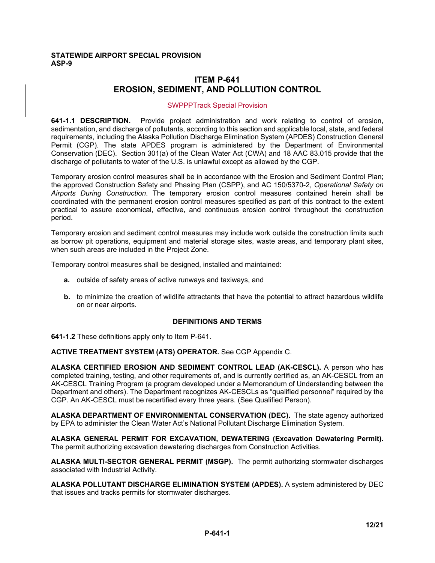### **STATEWIDE AIRPORT SPECIAL PROVISION ASP-9**

# **ITEM P-641 EROSION, SEDIMENT, AND POLLUTION CONTROL**

### SWPPPTrack Special Provision

**641-1.1 DESCRIPTION.** Provide project administration and work relating to control of erosion, sedimentation, and discharge of pollutants, according to this section and applicable local, state, and federal requirements, including the Alaska Pollution Discharge Elimination System (APDES) Construction General Permit (CGP). The state APDES program is administered by the Department of Environmental Conservation (DEC). Section 301(a) of the Clean Water Act (CWA) and 18 AAC 83.015 provide that the discharge of pollutants to water of the U.S. is unlawful except as allowed by the CGP.

Temporary erosion control measures shall be in accordance with the Erosion and Sediment Control Plan; the approved Construction Safety and Phasing Plan (CSPP), and AC 150/5370-2, *Operational Safety on Airports During Construction*. The temporary erosion control measures contained herein shall be coordinated with the permanent erosion control measures specified as part of this contract to the extent practical to assure economical, effective, and continuous erosion control throughout the construction period.

Temporary erosion and sediment control measures may include work outside the construction limits such as borrow pit operations, equipment and material storage sites, waste areas, and temporary plant sites, when such areas are included in the Project Zone.

Temporary control measures shall be designed, installed and maintained:

- **a.** outside of safety areas of active runways and taxiways, and
- **b.** to minimize the creation of wildlife attractants that have the potential to attract hazardous wildlife on or near airports.

### **DEFINITIONS AND TERMS**

**641-1.2** These definitions apply only to Item P-641.

**ACTIVE TREATMENT SYSTEM (ATS) OPERATOR.** See CGP Appendix C.

**ALASKA CERTIFIED EROSION AND SEDIMENT CONTROL LEAD (AK-CESCL).** A person who has completed training, testing, and other requirements of, and is currently certified as, an AK-CESCL from an AK-CESCL Training Program (a program developed under a Memorandum of Understanding between the Department and others). The Department recognizes AK-CESCLs as "qualified personnel" required by the CGP. An AK-CESCL must be recertified every three years. (See Qualified Person).

**ALASKA DEPARTMENT OF ENVIRONMENTAL CONSERVATION (DEC).** The state agency authorized by EPA to administer the Clean Water Act's National Pollutant Discharge Elimination System.

**ALASKA GENERAL PERMIT FOR EXCAVATION, DEWATERING (Excavation Dewatering Permit).**  The permit authorizing excavation dewatering discharges from Construction Activities.

**ALASKA MULTI-SECTOR GENERAL PERMIT (MSGP).** The permit authorizing stormwater discharges associated with Industrial Activity.

**ALASKA POLLUTANT DISCHARGE ELIMINATION SYSTEM (APDES).** A system administered by DEC that issues and tracks permits for stormwater discharges.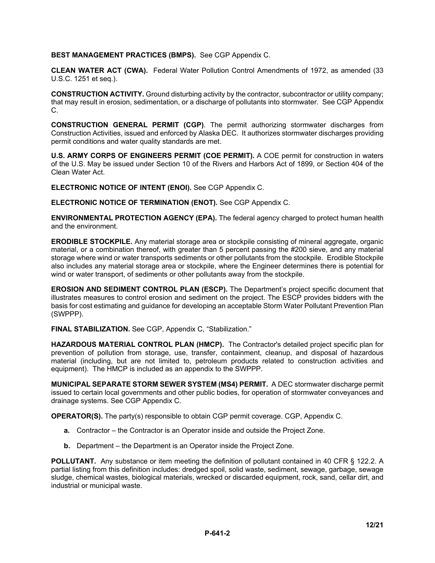### **BEST MANAGEMENT PRACTICES (BMPS).** See CGP Appendix C.

**CLEAN WATER ACT (CWA).** Federal Water Pollution Control Amendments of 1972, as amended (33 U.S.C. 1251 et seq.).

**CONSTRUCTION ACTIVITY.** Ground disturbing activity by the contractor, subcontractor or utility company; that may result in erosion, sedimentation, or a discharge of pollutants into stormwater. See CGP Appendix C.

**CONSTRUCTION GENERAL PERMIT (CGP)**. The permit authorizing stormwater discharges from Construction Activities, issued and enforced by Alaska DEC. It authorizes stormwater discharges providing permit conditions and water quality standards are met.

**U.S. ARMY CORPS OF ENGINEERS PERMIT (COE PERMIT).** A COE permit for construction in waters of the U.S. May be issued under Section 10 of the Rivers and Harbors Act of 1899, or Section 404 of the Clean Water Act.

**ELECTRONIC NOTICE OF INTENT (ENOI).** See CGP Appendix C.

**ELECTRONIC NOTICE OF TERMINATION (ENOT).** See CGP Appendix C.

**ENVIRONMENTAL PROTECTION AGENCY (EPA).** The federal agency charged to protect human health and the environment.

**ERODIBLE STOCKPILE.** Any material storage area or stockpile consisting of mineral aggregate, organic material, or a combination thereof, with greater than 5 percent passing the #200 sieve, and any material storage where wind or water transports sediments or other pollutants from the stockpile. Erodible Stockpile also includes any material storage area or stockpile, where the Engineer determines there is potential for wind or water transport, of sediments or other pollutants away from the stockpile.

**EROSION AND SEDIMENT CONTROL PLAN (ESCP).** The Department's project specific document that illustrates measures to control erosion and sediment on the project. The ESCP provides bidders with the basis for cost estimating and guidance for developing an acceptable Storm Water Pollutant Prevention Plan (SWPPP).

**FINAL STABILIZATION.** See CGP, Appendix C, "Stabilization."

**HAZARDOUS MATERIAL CONTROL PLAN (HMCP).** The Contractor's detailed project specific plan for prevention of pollution from storage, use, transfer, containment, cleanup, and disposal of hazardous material (including, but are not limited to, petroleum products related to construction activities and equipment). The HMCP is included as an appendix to the SWPPP.

**MUNICIPAL SEPARATE STORM SEWER SYSTEM (MS4) PERMIT.** A DEC stormwater discharge permit issued to certain local governments and other public bodies, for operation of stormwater conveyances and drainage systems. See CGP Appendix C.

**OPERATOR(S).** The party(s) responsible to obtain CGP permit coverage. CGP, Appendix C.

- **a.** Contractor the Contractor is an Operator inside and outside the Project Zone.
- **b.** Department the Department is an Operator inside the Project Zone.

**POLLUTANT.** Any substance or item meeting the definition of pollutant contained in 40 CFR § 122.2. A partial listing from this definition includes: dredged spoil, solid waste, sediment, sewage, garbage, sewage sludge, chemical wastes, biological materials, wrecked or discarded equipment, rock, sand, cellar dirt, and industrial or municipal waste.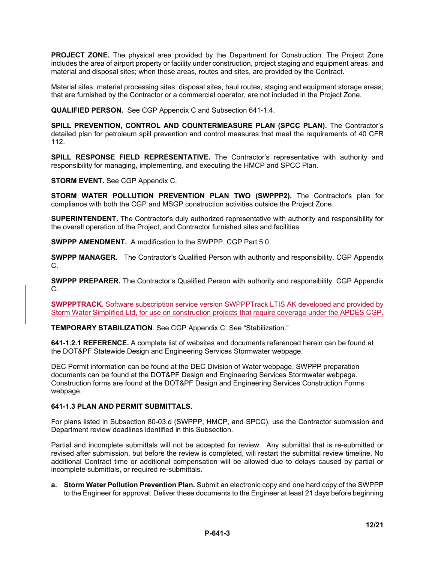**PROJECT ZONE.** The physical area provided by the Department for Construction. The Project Zone includes the area of airport property or facility under construction, project staging and equipment areas, and material and disposal sites; when those areas, routes and sites, are provided by the Contract.

Material sites, material processing sites, disposal sites, haul routes, staging and equipment storage areas; that are furnished by the Contractor or a commercial operator, are not included in the Project Zone.

**QUALIFIED PERSON.** See CGP Appendix C and Subsection 641-1.4.

**SPILL PREVENTION, CONTROL AND COUNTERMEASURE PLAN (SPCC PLAN).** The Contractor's detailed plan for petroleum spill prevention and control measures that meet the requirements of 40 CFR 112.

**SPILL RESPONSE FIELD REPRESENTATIVE.** The Contractor's representative with authority and responsibility for managing, implementing, and executing the HMCP and SPCC Plan.

**STORM EVENT.** See CGP Appendix C.

**STORM WATER POLLUTION PREVENTION PLAN TWO (SWPPP2).** The Contractor's plan for compliance with both the CGP and MSGP construction activities outside the Project Zone.

**SUPERINTENDENT.** The Contractor's duly authorized representative with authority and responsibility for the overall operation of the Project, and Contractor furnished sites and facilities.

**SWPPP AMENDMENT.** A modification to the SWPPP. CGP Part 5.0.

**SWPPP MANAGER.** The Contractor's Qualified Person with authority and responsibility. CGP Appendix C.

**SWPPP PREPARER.** The Contractor's Qualified Person with authority and responsibility. CGP Appendix C.

**SWPPPTRACK.** Software subscription service version SWPPPTrack LTIS AK developed and provided by Storm Water Simplified Ltd, for use on construction projects that require coverage under the APDES CGP.

**TEMPORARY STABILIZATION**. See CGP Appendix C. See "Stabilization."

**641-1.2.1 REFERENCE.** A complete list of websites and documents referenced herein can be found at the DOT&PF Statewide Design and Engineering Services Stormwater webpage.

DEC Permit information can be found at the DEC Division of Water webpage. SWPPP preparation documents can be found at the DOT&PF Design and Engineering Services Stormwater webpage. Construction forms are found at the DOT&PF Design and Engineering Services Construction Forms webpage.

### **641-1.3 PLAN AND PERMIT SUBMITTALS.**

For plans listed in Subsection 80-03.d (SWPPP, HMCP, and SPCC), use the Contractor submission and Department review deadlines identified in this Subsection.

Partial and incomplete submittals will not be accepted for review. Any submittal that is re-submitted or revised after submission, but before the review is completed, will restart the submittal review timeline. No additional Contract time or additional compensation will be allowed due to delays caused by partial or incomplete submittals, or required re-submittals.

**a. Storm Water Pollution Prevention Plan.** Submit an electronic copy and one hard copy of the SWPPP to the Engineer for approval. Deliver these documents to the Engineer at least 21 days before beginning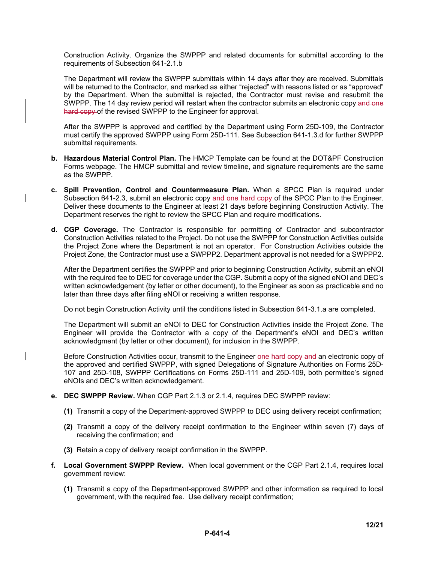Construction Activity. Organize the SWPPP and related documents for submittal according to the requirements of Subsection 641-2.1.b

The Department will review the SWPPP submittals within 14 days after they are received. Submittals will be returned to the Contractor, and marked as either "rejected" with reasons listed or as "approved" by the Department. When the submittal is rejected, the Contractor must revise and resubmit the SWPPP. The 14 day review period will restart when the contractor submits an electronic copy and one hard copy of the revised SWPPP to the Engineer for approval.

After the SWPPP is approved and certified by the Department using Form 25D-109, the Contractor must certify the approved SWPPP using Form 25D-111. See Subsection 641-1.3.d for further SWPPP submittal requirements.

- **b. Hazardous Material Control Plan.** The HMCP Template can be found at the DOT&PF Construction Forms webpage. The HMCP submittal and review timeline, and signature requirements are the same as the SWPPP.
- **c. Spill Prevention, Control and Countermeasure Plan.** When a SPCC Plan is required under Subsection 641-2.3, submit an electronic copy and one hard copy of the SPCC Plan to the Engineer. Deliver these documents to the Engineer at least 21 days before beginning Construction Activity. The Department reserves the right to review the SPCC Plan and require modifications.
- **d. CGP Coverage.** The Contractor is responsible for permitting of Contractor and subcontractor Construction Activities related to the Project. Do not use the SWPPP for Construction Activities outside the Project Zone where the Department is not an operator. For Construction Activities outside the Project Zone, the Contractor must use a SWPPP2. Department approval is not needed for a SWPPP2.

After the Department certifies the SWPPP and prior to beginning Construction Activity, submit an eNOI with the required fee to DEC for coverage under the CGP. Submit a copy of the signed eNOI and DEC's written acknowledgement (by letter or other document), to the Engineer as soon as practicable and no later than three days after filing eNOI or receiving a written response.

Do not begin Construction Activity until the conditions listed in Subsection 641-3.1.a are completed.

The Department will submit an eNOI to DEC for Construction Activities inside the Project Zone. The Engineer will provide the Contractor with a copy of the Department's eNOI and DEC's written acknowledgment (by letter or other document), for inclusion in the SWPPP.

Before Construction Activities occur, transmit to the Engineer one hard copy and an electronic copy of the approved and certified SWPPP, with signed Delegations of Signature Authorities on Forms 25D-107 and 25D-108, SWPPP Certifications on Forms 25D-111 and 25D-109, both permittee's signed eNOIs and DEC's written acknowledgement.

- **e. DEC SWPPP Review.** When CGP Part 2.1.3 or 2.1.4, requires DEC SWPPP review:
	- **(1)** Transmit a copy of the Department-approved SWPPP to DEC using delivery receipt confirmation;
	- **(2)** Transmit a copy of the delivery receipt confirmation to the Engineer within seven (7) days of receiving the confirmation; and
	- **(3)** Retain a copy of delivery receipt confirmation in the SWPPP.
- **f. Local Government SWPPP Review.** When local government or the CGP Part 2.1.4, requires local government review:
	- **(1)** Transmit a copy of the Department-approved SWPPP and other information as required to local government, with the required fee. Use delivery receipt confirmation;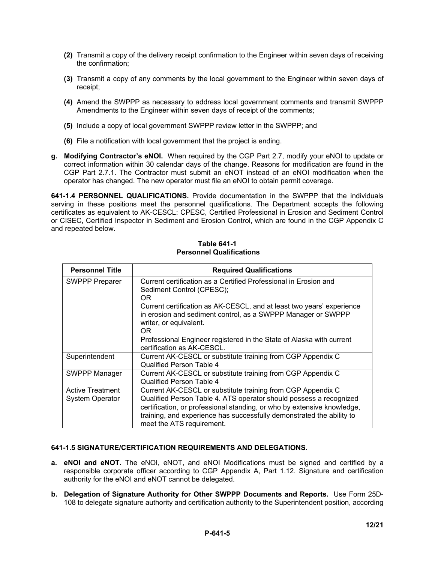- **(2)** Transmit a copy of the delivery receipt confirmation to the Engineer within seven days of receiving the confirmation;
- **(3)** Transmit a copy of any comments by the local government to the Engineer within seven days of receipt;
- **(4)** Amend the SWPPP as necessary to address local government comments and transmit SWPPP Amendments to the Engineer within seven days of receipt of the comments;
- **(5)** Include a copy of local government SWPPP review letter in the SWPPP; and
- **(6)** File a notification with local government that the project is ending.
- **g. Modifying Contractor's eNOI.** When required by the CGP Part 2.7, modify your eNOI to update or correct information within 30 calendar days of the change. Reasons for modification are found in the CGP Part 2.7.1. The Contractor must submit an eNOT instead of an eNOI modification when the operator has changed. The new operator must file an eNOI to obtain permit coverage.

**641-1.4 PERSONNEL QUALIFICATIONS.** Provide documentation in the SWPPP that the individuals serving in these positions meet the personnel qualifications. The Department accepts the following certificates as equivalent to AK-CESCL: CPESC, Certified Professional in Erosion and Sediment Control or CISEC, Certified Inspector in Sediment and Erosion Control, which are found in the CGP Appendix C and repeated below.

| <b>Personnel Title</b>                            | <b>Required Qualifications</b>                                                                                                                                                                                                                                                                                     |
|---------------------------------------------------|--------------------------------------------------------------------------------------------------------------------------------------------------------------------------------------------------------------------------------------------------------------------------------------------------------------------|
| <b>SWPPP Preparer</b>                             | Current certification as a Certified Professional in Erosion and<br>Sediment Control (CPESC);<br>OR.                                                                                                                                                                                                               |
|                                                   | Current certification as AK-CESCL, and at least two years' experience<br>in erosion and sediment control, as a SWPPP Manager or SWPPP<br>writer, or equivalent.<br>OR.                                                                                                                                             |
|                                                   | Professional Engineer registered in the State of Alaska with current<br>certification as AK-CESCL.                                                                                                                                                                                                                 |
| Superintendent                                    | Current AK-CESCL or substitute training from CGP Appendix C<br>Qualified Person Table 4                                                                                                                                                                                                                            |
| <b>SWPPP Manager</b>                              | Current AK-CESCL or substitute training from CGP Appendix C<br>Qualified Person Table 4                                                                                                                                                                                                                            |
| <b>Active Treatment</b><br><b>System Operator</b> | Current AK-CESCL or substitute training from CGP Appendix C<br>Qualified Person Table 4. ATS operator should possess a recognized<br>certification, or professional standing, or who by extensive knowledge,<br>training, and experience has successfully demonstrated the ability to<br>meet the ATS requirement. |

### **Table 641-1 Personnel Qualifications**

### **641-1.5 SIGNATURE/CERTIFICATION REQUIREMENTS AND DELEGATIONS.**

- **a. eNOI and eNOT.** The eNOI, eNOT, and eNOI Modifications must be signed and certified by a responsible corporate officer according to CGP Appendix A, Part 1.12. Signature and certification authority for the eNOI and eNOT cannot be delegated.
- **b. Delegation of Signature Authority for Other SWPPP Documents and Reports.** Use Form 25D-108 to delegate signature authority and certification authority to the Superintendent position, according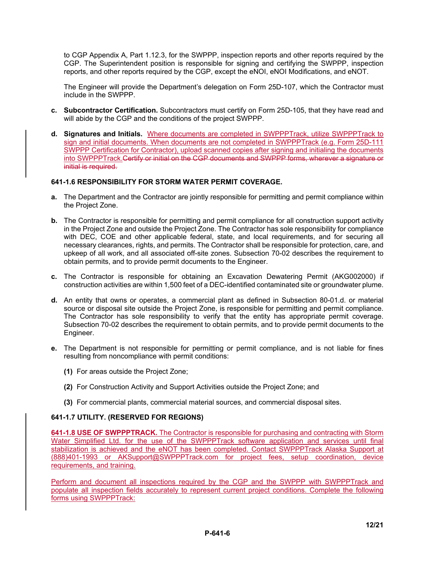to CGP Appendix A, Part 1.12.3, for the SWPPP, inspection reports and other reports required by the CGP. The Superintendent position is responsible for signing and certifying the SWPPP, inspection reports, and other reports required by the CGP, except the eNOI, eNOI Modifications, and eNOT.

The Engineer will provide the Department's delegation on Form 25D-107, which the Contractor must include in the SWPPP.

- **c. Subcontractor Certification.** Subcontractors must certify on Form 25D-105, that they have read and will abide by the CGP and the conditions of the project SWPPP.
- **d. Signatures and Initials.** Where documents are completed in SWPPPTrack, utilize SWPPPTrack to sign and initial documents. When documents are not completed in SWPPPTrack (e.g. Form 25D-111 SWPPP Certification for Contractor), upload scanned copies after signing and initialing the documents into SWPPPTrack.Certify or initial on the CGP documents and SWPPP forms, wherever a signature or initial is required.

### **641-1.6 RESPONSIBILITY FOR STORM WATER PERMIT COVERAGE.**

- **a.** The Department and the Contractor are jointly responsible for permitting and permit compliance within the Project Zone.
- **b.** The Contractor is responsible for permitting and permit compliance for all construction support activity in the Project Zone and outside the Project Zone. The Contractor has sole responsibility for compliance with DEC, COE and other applicable federal, state, and local requirements, and for securing all necessary clearances, rights, and permits. The Contractor shall be responsible for protection, care, and upkeep of all work, and all associated off-site zones. Subsection 70-02 describes the requirement to obtain permits, and to provide permit documents to the Engineer.
- **c.** The Contractor is responsible for obtaining an Excavation Dewatering Permit (AKG002000) if construction activities are within 1,500 feet of a DEC-identified contaminated site or groundwater plume.
- **d.** An entity that owns or operates, a commercial plant as defined in Subsection 80-01.d. or material source or disposal site outside the Project Zone, is responsible for permitting and permit compliance. The Contractor has sole responsibility to verify that the entity has appropriate permit coverage. Subsection 70-02 describes the requirement to obtain permits, and to provide permit documents to the Engineer.
- **e.** The Department is not responsible for permitting or permit compliance, and is not liable for fines resulting from noncompliance with permit conditions:
	- **(1)** For areas outside the Project Zone;
	- **(2)** For Construction Activity and Support Activities outside the Project Zone; and
	- **(3)** For commercial plants, commercial material sources, and commercial disposal sites.

### **641-1.7 UTILITY. (RESERVED FOR REGIONS)**

**641-1.8 USE OF SWPPPTRACK.** The Contractor is responsible for purchasing and contracting with Storm Water Simplified Ltd. for the use of the SWPPPTrack software application and services until final stabilization is achieved and the eNOT has been completed. Contact SWPPPTrack Alaska Support at (888)401-1993 or AKSupport@SWPPPTrack.com for project fees, setup coordination, device requirements, and training.

Perform and document all inspections required by the CGP and the SWPPP with SWPPPTrack and populate all inspection fields accurately to represent current project conditions. Complete the following forms using SWPPPTrack: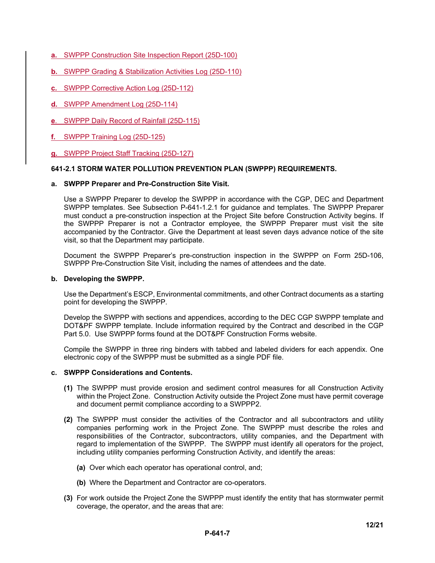- **a.** SWPPP Construction Site Inspection Report (25D-100)
- **b.** SWPPP Grading & Stabilization Activities Log (25D-110)
- **c.** SWPPP Corrective Action Log (25D-112)
- **d.** SWPPP Amendment Log (25D-114)
- **e**. SWPPP Daily Record of Rainfall (25D-115)
- **f.** SWPPP Training Log (25D-125)
- **g.** SWPPP Project Staff Tracking (25D-127)

### **641-2.1 STORM WATER POLLUTION PREVENTION PLAN (SWPPP) REQUIREMENTS.**

### **a. SWPPP Preparer and Pre-Construction Site Visit.**

Use a SWPPP Preparer to develop the SWPPP in accordance with the CGP, DEC and Department SWPPP templates. See Subsection P-641-1.2.1 for guidance and templates. The SWPPP Preparer must conduct a pre-construction inspection at the Project Site before Construction Activity begins. If the SWPPP Preparer is not a Contractor employee, the SWPPP Preparer must visit the site accompanied by the Contractor. Give the Department at least seven days advance notice of the site visit, so that the Department may participate.

Document the SWPPP Preparer's pre-construction inspection in the SWPPP on Form 25D-106, SWPPP Pre-Construction Site Visit, including the names of attendees and the date.

#### **b. Developing the SWPPP.**

Use the Department's ESCP, Environmental commitments, and other Contract documents as a starting point for developing the SWPPP.

Develop the SWPPP with sections and appendices, according to the DEC CGP SWPPP template and DOT&PF SWPPP template. Include information required by the Contract and described in the CGP Part 5.0. Use SWPPP forms found at the DOT&PF Construction Forms website.

Compile the SWPPP in three ring binders with tabbed and labeled dividers for each appendix. One electronic copy of the SWPPP must be submitted as a single PDF file.

### **c. SWPPP Considerations and Contents.**

- **(1)** The SWPPP must provide erosion and sediment control measures for all Construction Activity within the Project Zone. Construction Activity outside the Project Zone must have permit coverage and document permit compliance according to a SWPPP2.
- **(2)** The SWPPP must consider the activities of the Contractor and all subcontractors and utility companies performing work in the Project Zone. The SWPPP must describe the roles and responsibilities of the Contractor, subcontractors, utility companies, and the Department with regard to implementation of the SWPPP. The SWPPP must identify all operators for the project, including utility companies performing Construction Activity, and identify the areas:
	- **(a)** Over which each operator has operational control, and;
	- **(b)** Where the Department and Contractor are co-operators.
- **(3)** For work outside the Project Zone the SWPPP must identify the entity that has stormwater permit coverage, the operator, and the areas that are: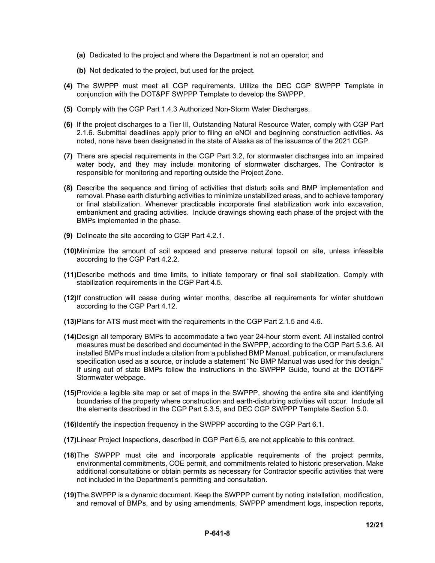- **(a)** Dedicated to the project and where the Department is not an operator; and
- **(b)** Not dedicated to the project, but used for the project.
- **(4)** The SWPPP must meet all CGP requirements. Utilize the DEC CGP SWPPP Template in conjunction with the DOT&PF SWPPP Template to develop the SWPPP.
- **(5)** Comply with the CGP Part 1.4.3 Authorized Non-Storm Water Discharges.
- **(6)** If the project discharges to a Tier III, Outstanding Natural Resource Water, comply with CGP Part 2.1.6. Submittal deadlines apply prior to filing an eNOI and beginning construction activities. As noted, none have been designated in the state of Alaska as of the issuance of the 2021 CGP.
- **(7)** There are special requirements in the CGP Part 3.2, for stormwater discharges into an impaired water body, and they may include monitoring of stormwater discharges. The Contractor is responsible for monitoring and reporting outside the Project Zone.
- **(8)** Describe the sequence and timing of activities that disturb soils and BMP implementation and removal. Phase earth disturbing activities to minimize unstabilized areas, and to achieve temporary or final stabilization. Whenever practicable incorporate final stabilization work into excavation, embankment and grading activities. Include drawings showing each phase of the project with the BMPs implemented in the phase.
- **(9)** Delineate the site according to CGP Part 4.2.1.
- **(10)** Minimize the amount of soil exposed and preserve natural topsoil on site, unless infeasible according to the CGP Part 4.2.2.
- **(11)** Describe methods and time limits, to initiate temporary or final soil stabilization. Comply with stabilization requirements in the CGP Part 4.5.
- **(12)** If construction will cease during winter months, describe all requirements for winter shutdown according to the CGP Part 4.12.
- **(13)** Plans for ATS must meet with the requirements in the CGP Part 2.1.5 and 4.6.
- **(14)** Design all temporary BMPs to accommodate a two year 24-hour storm event. All installed control measures must be described and documented in the SWPPP, according to the CGP Part 5.3.6. All installed BMPs must include a citation from a published BMP Manual, publication, or manufacturers specification used as a source, or include a statement "No BMP Manual was used for this design." If using out of state BMPs follow the instructions in the SWPPP Guide, found at the DOT&PF Stormwater webpage.
- **(15)** Provide a legible site map or set of maps in the SWPPP, showing the entire site and identifying boundaries of the property where construction and earth-disturbing activities will occur. Include all the elements described in the CGP Part 5.3.5, and DEC CGP SWPPP Template Section 5.0.
- **(16)** Identify the inspection frequency in the SWPPP according to the CGP Part 6.1.
- **(17)** Linear Project Inspections, described in CGP Part 6.5, are not applicable to this contract.
- **(18)** The SWPPP must cite and incorporate applicable requirements of the project permits, environmental commitments, COE permit, and commitments related to historic preservation. Make additional consultations or obtain permits as necessary for Contractor specific activities that were not included in the Department's permitting and consultation.
- **(19)** The SWPPP is a dynamic document. Keep the SWPPP current by noting installation, modification, and removal of BMPs, and by using amendments, SWPPP amendment logs, inspection reports,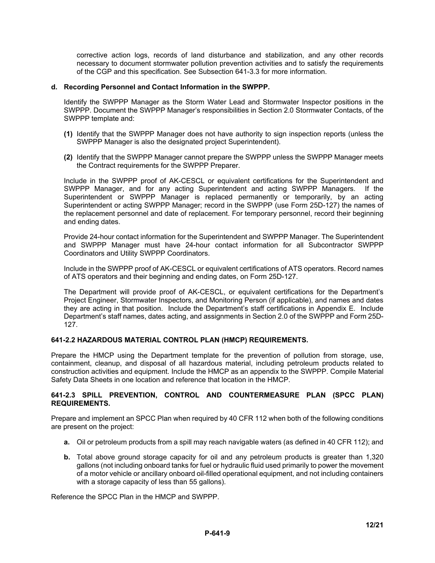corrective action logs, records of land disturbance and stabilization, and any other records necessary to document stormwater pollution prevention activities and to satisfy the requirements of the CGP and this specification. See Subsection 641-3.3 for more information.

### **d. Recording Personnel and Contact Information in the SWPPP.**

Identify the SWPPP Manager as the Storm Water Lead and Stormwater Inspector positions in the SWPPP. Document the SWPPP Manager's responsibilities in Section 2.0 Stormwater Contacts, of the SWPPP template and:

- **(1)** Identify that the SWPPP Manager does not have authority to sign inspection reports (unless the SWPPP Manager is also the designated project Superintendent).
- **(2)** Identify that the SWPPP Manager cannot prepare the SWPPP unless the SWPPP Manager meets the Contract requirements for the SWPPP Preparer.

Include in the SWPPP proof of AK-CESCL or equivalent certifications for the Superintendent and SWPPP Manager, and for any acting Superintendent and acting SWPPP Managers. If the Superintendent or SWPPP Manager is replaced permanently or temporarily, by an acting Superintendent or acting SWPPP Manager; record in the SWPPP (use Form 25D-127) the names of the replacement personnel and date of replacement. For temporary personnel, record their beginning and ending dates.

Provide 24-hour contact information for the Superintendent and SWPPP Manager. The Superintendent and SWPPP Manager must have 24-hour contact information for all Subcontractor SWPPP Coordinators and Utility SWPPP Coordinators.

Include in the SWPPP proof of AK-CESCL or equivalent certifications of ATS operators. Record names of ATS operators and their beginning and ending dates, on Form 25D-127.

The Department will provide proof of AK-CESCL, or equivalent certifications for the Department's Project Engineer, Stormwater Inspectors, and Monitoring Person (if applicable), and names and dates they are acting in that position. Include the Department's staff certifications in Appendix E. Include Department's staff names, dates acting, and assignments in Section 2.0 of the SWPPP and Form 25D-127.

### **641-2.2 HAZARDOUS MATERIAL CONTROL PLAN (HMCP) REQUIREMENTS.**

Prepare the HMCP using the Department template for the prevention of pollution from storage, use, containment, cleanup, and disposal of all hazardous material, including petroleum products related to construction activities and equipment. Include the HMCP as an appendix to the SWPPP. Compile Material Safety Data Sheets in one location and reference that location in the HMCP.

### **641-2.3 SPILL PREVENTION, CONTROL AND COUNTERMEASURE PLAN (SPCC PLAN) REQUIREMENTS.**

Prepare and implement an SPCC Plan when required by 40 CFR 112 when both of the following conditions are present on the project:

- **a.** Oil or petroleum products from a spill may reach navigable waters (as defined in 40 CFR 112); and
- **b.** Total above ground storage capacity for oil and any petroleum products is greater than 1,320 gallons (not including onboard tanks for fuel or hydraulic fluid used primarily to power the movement of a motor vehicle or ancillary onboard oil-filled operational equipment, and not including containers with a storage capacity of less than 55 gallons).

Reference the SPCC Plan in the HMCP and SWPPP.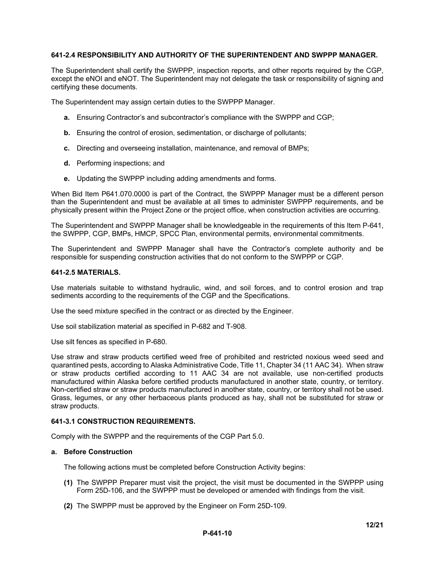### **641-2.4 RESPONSIBILITY AND AUTHORITY OF THE SUPERINTENDENT AND SWPPP MANAGER.**

The Superintendent shall certify the SWPPP, inspection reports, and other reports required by the CGP, except the eNOI and eNOT. The Superintendent may not delegate the task or responsibility of signing and certifying these documents.

The Superintendent may assign certain duties to the SWPPP Manager.

- **a.** Ensuring Contractor's and subcontractor's compliance with the SWPPP and CGP;
- **b.** Ensuring the control of erosion, sedimentation, or discharge of pollutants;
- **c.** Directing and overseeing installation, maintenance, and removal of BMPs;
- **d.** Performing inspections; and
- **e.** Updating the SWPPP including adding amendments and forms.

When Bid Item P641.070.0000 is part of the Contract, the SWPPP Manager must be a different person than the Superintendent and must be available at all times to administer SWPPP requirements, and be physically present within the Project Zone or the project office, when construction activities are occurring.

The Superintendent and SWPPP Manager shall be knowledgeable in the requirements of this Item P-641, the SWPPP, CGP, BMPs, HMCP, SPCC Plan, environmental permits, environmental commitments.

The Superintendent and SWPPP Manager shall have the Contractor's complete authority and be responsible for suspending construction activities that do not conform to the SWPPP or CGP.

#### **641-2.5 MATERIALS.**

Use materials suitable to withstand hydraulic, wind, and soil forces, and to control erosion and trap sediments according to the requirements of the CGP and the Specifications.

Use the seed mixture specified in the contract or as directed by the Engineer.

Use soil stabilization material as specified in P-682 and T-908.

Use silt fences as specified in P-680.

Use straw and straw products certified weed free of prohibited and restricted noxious weed seed and quarantined pests, according to Alaska Administrative Code, Title 11, Chapter 34 (11 AAC 34). When straw or straw products certified according to 11 AAC 34 are not available, use non-certified products manufactured within Alaska before certified products manufactured in another state, country, or territory. Non-certified straw or straw products manufactured in another state, country, or territory shall not be used. Grass, legumes, or any other herbaceous plants produced as hay, shall not be substituted for straw or straw products.

### **641-3.1 CONSTRUCTION REQUIREMENTS.**

Comply with the SWPPP and the requirements of the CGP Part 5.0.

#### **a. Before Construction**

The following actions must be completed before Construction Activity begins:

- **(1)** The SWPPP Preparer must visit the project, the visit must be documented in the SWPPP using Form 25D-106, and the SWPPP must be developed or amended with findings from the visit.
- **(2)** The SWPPP must be approved by the Engineer on Form 25D-109.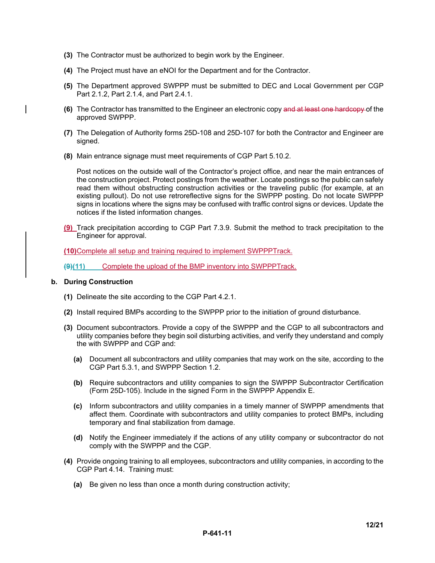- **(3)** The Contractor must be authorized to begin work by the Engineer.
- **(4)** The Project must have an eNOI for the Department and for the Contractor.
- **(5)** The Department approved SWPPP must be submitted to DEC and Local Government per CGP Part 2.1.2, Part 2.1.4, and Part 2.4.1.
- **(6)** The Contractor has transmitted to the Engineer an electronic copy and at least one hardcopy of the approved SWPPP.
- **(7)** The Delegation of Authority forms 25D-108 and 25D-107 for both the Contractor and Engineer are signed.
- **(8)** Main entrance signage must meet requirements of CGP Part 5.10.2.

Post notices on the outside wall of the Contractor's project office, and near the main entrances of the construction project. Protect postings from the weather. Locate postings so the public can safely read them without obstructing construction activities or the traveling public (for example, at an existing pullout). Do not use retroreflective signs for the SWPPP posting. Do not locate SWPPP signs in locations where the signs may be confused with traffic control signs or devices. Update the notices if the listed information changes.

**(9)** Track precipitation according to CGP Part 7.3.9. Submit the method to track precipitation to the Engineer for approval.

**(10)** Complete all setup and training required to implement SWPPPTrack.

**(9)(11)** Complete the upload of the BMP inventory into SWPPPTrack.

### **b. During Construction**

- **(1)** Delineate the site according to the CGP Part 4.2.1.
- **(2)** Install required BMPs according to the SWPPP prior to the initiation of ground disturbance.
- **(3)** Document subcontractors. Provide a copy of the SWPPP and the CGP to all subcontractors and utility companies before they begin soil disturbing activities, and verify they understand and comply the with SWPPP and CGP and:
	- **(a)** Document all subcontractors and utility companies that may work on the site, according to the CGP Part 5.3.1, and SWPPP Section 1.2.
	- **(b)** Require subcontractors and utility companies to sign the SWPPP Subcontractor Certification (Form 25D-105). Include in the signed Form in the SWPPP Appendix E.
	- **(c)** Inform subcontractors and utility companies in a timely manner of SWPPP amendments that affect them. Coordinate with subcontractors and utility companies to protect BMPs, including temporary and final stabilization from damage.
	- **(d)** Notify the Engineer immediately if the actions of any utility company or subcontractor do not comply with the SWPPP and the CGP.
- **(4)** Provide ongoing training to all employees, subcontractors and utility companies, in according to the CGP Part 4.14. Training must:
	- **(a)** Be given no less than once a month during construction activity;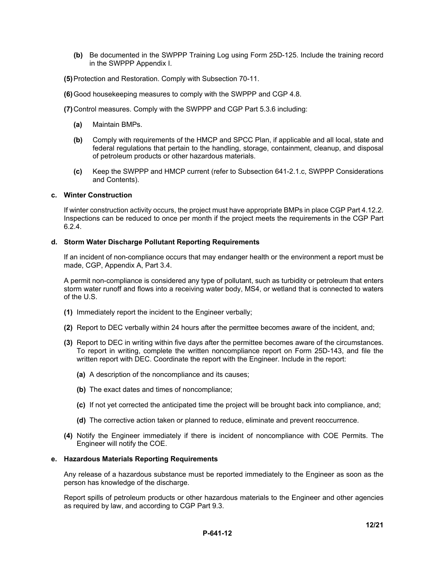- **(b)** Be documented in the SWPPP Training Log using Form 25D-125. Include the training record in the SWPPP Appendix I.
- **(5)** Protection and Restoration. Comply with Subsection 70-11.
- **(6)** Good housekeeping measures to comply with the SWPPP and CGP 4.8.
- **(7)** Control measures. Comply with the SWPPP and CGP Part 5.3.6 including:
	- **(a)** Maintain BMPs.
	- **(b)** Comply with requirements of the HMCP and SPCC Plan, if applicable and all local, state and federal regulations that pertain to the handling, storage, containment, cleanup, and disposal of petroleum products or other hazardous materials.
	- **(c)** Keep the SWPPP and HMCP current (refer to Subsection 641-2.1.c, SWPPP Considerations and Contents).

#### **c. Winter Construction**

If winter construction activity occurs, the project must have appropriate BMPs in place CGP Part 4.12.2. Inspections can be reduced to once per month if the project meets the requirements in the CGP Part 6.2.4.

#### **d. Storm Water Discharge Pollutant Reporting Requirements**

If an incident of non-compliance occurs that may endanger health or the environment a report must be made, CGP, Appendix A, Part 3.4.

A permit non-compliance is considered any type of pollutant, such as turbidity or petroleum that enters storm water runoff and flows into a receiving water body, MS4, or wetland that is connected to waters of the U.S.

- **(1)** Immediately report the incident to the Engineer verbally;
- **(2)** Report to DEC verbally within 24 hours after the permittee becomes aware of the incident, and;
- **(3)** Report to DEC in writing within five days after the permittee becomes aware of the circumstances. To report in writing, complete the written noncompliance report on Form 25D-143, and file the written report with DEC. Coordinate the report with the Engineer. Include in the report:
	- **(a)** A description of the noncompliance and its causes;
	- **(b)** The exact dates and times of noncompliance;
	- **(c)** If not yet corrected the anticipated time the project will be brought back into compliance, and;
	- **(d)** The corrective action taken or planned to reduce, eliminate and prevent reoccurrence.
- **(4)** Notify the Engineer immediately if there is incident of noncompliance with COE Permits. The Engineer will notify the COE.

#### **e. Hazardous Materials Reporting Requirements**

Any release of a hazardous substance must be reported immediately to the Engineer as soon as the person has knowledge of the discharge.

Report spills of petroleum products or other hazardous materials to the Engineer and other agencies as required by law, and according to CGP Part 9.3.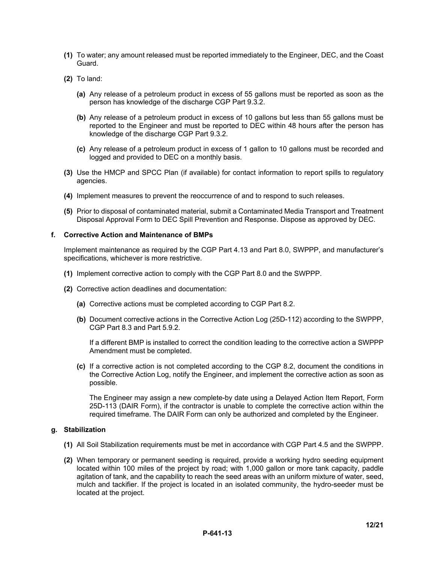- **(1)** To water; any amount released must be reported immediately to the Engineer, DEC, and the Coast Guard.
- **(2)** To land:
	- **(a)** Any release of a petroleum product in excess of 55 gallons must be reported as soon as the person has knowledge of the discharge CGP Part 9.3.2.
	- **(b)** Any release of a petroleum product in excess of 10 gallons but less than 55 gallons must be reported to the Engineer and must be reported to DEC within 48 hours after the person has knowledge of the discharge CGP Part 9.3.2.
	- **(c)** Any release of a petroleum product in excess of 1 gallon to 10 gallons must be recorded and logged and provided to DEC on a monthly basis.
- **(3)** Use the HMCP and SPCC Plan (if available) for contact information to report spills to regulatory agencies.
- **(4)** Implement measures to prevent the reoccurrence of and to respond to such releases.
- **(5)** Prior to disposal of contaminated material, submit a Contaminated Media Transport and Treatment Disposal Approval Form to DEC Spill Prevention and Response. Dispose as approved by DEC.

### **f. Corrective Action and Maintenance of BMPs**

Implement maintenance as required by the CGP Part 4.13 and Part 8.0, SWPPP, and manufacturer's specifications, whichever is more restrictive.

- **(1)** Implement corrective action to comply with the CGP Part 8.0 and the SWPPP.
- **(2)** Corrective action deadlines and documentation:
	- **(a)** Corrective actions must be completed according to CGP Part 8.2.
	- **(b)** Document corrective actions in the Corrective Action Log (25D-112) according to the SWPPP, CGP Part 8.3 and Part 5.9.2.

If a different BMP is installed to correct the condition leading to the corrective action a SWPPP Amendment must be completed.

**(c)** If a corrective action is not completed according to the CGP 8.2, document the conditions in the Corrective Action Log, notify the Engineer, and implement the corrective action as soon as possible.

The Engineer may assign a new complete-by date using a Delayed Action Item Report, Form 25D-113 (DAIR Form), if the contractor is unable to complete the corrective action within the required timeframe. The DAIR Form can only be authorized and completed by the Engineer.

### **g. Stabilization**

- **(1)** All Soil Stabilization requirements must be met in accordance with CGP Part 4.5 and the SWPPP.
- **(2)** When temporary or permanent seeding is required, provide a working hydro seeding equipment located within 100 miles of the project by road; with 1,000 gallon or more tank capacity, paddle agitation of tank, and the capability to reach the seed areas with an uniform mixture of water, seed, mulch and tackifier. If the project is located in an isolated community, the hydro-seeder must be located at the project.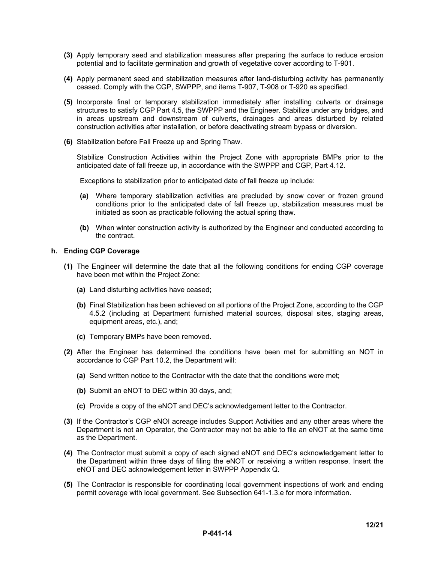- **(3)** Apply temporary seed and stabilization measures after preparing the surface to reduce erosion potential and to facilitate germination and growth of vegetative cover according to T-901.
- **(4)** Apply permanent seed and stabilization measures after land-disturbing activity has permanently ceased. Comply with the CGP, SWPPP, and items T-907, T-908 or T-920 as specified.
- **(5)** Incorporate final or temporary stabilization immediately after installing culverts or drainage structures to satisfy CGP Part 4.5, the SWPPP and the Engineer. Stabilize under any bridges, and in areas upstream and downstream of culverts, drainages and areas disturbed by related construction activities after installation, or before deactivating stream bypass or diversion.
- **(6)** Stabilization before Fall Freeze up and Spring Thaw.

Stabilize Construction Activities within the Project Zone with appropriate BMPs prior to the anticipated date of fall freeze up, in accordance with the SWPPP and CGP, Part 4.12.

Exceptions to stabilization prior to anticipated date of fall freeze up include:

- **(a)** Where temporary stabilization activities are precluded by snow cover or frozen ground conditions prior to the anticipated date of fall freeze up, stabilization measures must be initiated as soon as practicable following the actual spring thaw.
- **(b)** When winter construction activity is authorized by the Engineer and conducted according to the contract.

### **h. Ending CGP Coverage**

- **(1)** The Engineer will determine the date that all the following conditions for ending CGP coverage have been met within the Project Zone:
	- **(a)** Land disturbing activities have ceased;
	- **(b)** Final Stabilization has been achieved on all portions of the Project Zone, according to the CGP 4.5.2 (including at Department furnished material sources, disposal sites, staging areas, equipment areas, etc.), and;
	- **(c)** Temporary BMPs have been removed.
- **(2)** After the Engineer has determined the conditions have been met for submitting an NOT in accordance to CGP Part 10.2, the Department will:
	- **(a)** Send written notice to the Contractor with the date that the conditions were met;
	- **(b)** Submit an eNOT to DEC within 30 days, and;
	- **(c)** Provide a copy of the eNOT and DEC's acknowledgement letter to the Contractor.
- **(3)** If the Contractor's CGP eNOI acreage includes Support Activities and any other areas where the Department is not an Operator, the Contractor may not be able to file an eNOT at the same time as the Department.
- **(4)** The Contractor must submit a copy of each signed eNOT and DEC's acknowledgement letter to the Department within three days of filing the eNOT or receiving a written response. Insert the eNOT and DEC acknowledgement letter in SWPPP Appendix Q.
- **(5)** The Contractor is responsible for coordinating local government inspections of work and ending permit coverage with local government. See Subsection 641-1.3.e for more information.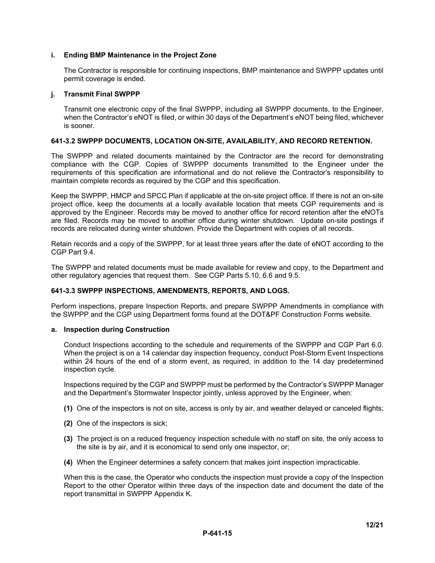### **i. Ending BMP Maintenance in the Project Zone**

The Contractor is responsible for continuing inspections, BMP maintenance and SWPPP updates until permit coverage is ended.

### **j. Transmit Final SWPPP**

Transmit one electronic copy of the final SWPPP, including all SWPPP documents, to the Engineer, when the Contractor's eNOT is filed, or within 30 days of the Department's eNOT being filed, whichever is sooner.

### **641-3.2 SWPPP DOCUMENTS, LOCATION ON-SITE, AVAILABILITY, AND RECORD RETENTION.**

The SWPPP and related documents maintained by the Contractor are the record for demonstrating compliance with the CGP. Copies of SWPPP documents transmitted to the Engineer under the requirements of this specification are informational and do not relieve the Contractor's responsibility to maintain complete records as required by the CGP and this specification.

Keep the SWPPP, HMCP and SPCC Plan if applicable at the on-site project office. If there is not an on-site project office, keep the documents at a locally available location that meets CGP requirements and is approved by the Engineer. Records may be moved to another office for record retention after the eNOTs are filed. Records may be moved to another office during winter shutdown. Update on-site postings if records are relocated during winter shutdown. Provide the Department with copies of all records.

Retain records and a copy of the SWPPP, for at least three years after the date of eNOT according to the CGP Part 9.4.

The SWPPP and related documents must be made available for review and copy, to the Department and other regulatory agencies that request them. See CGP Parts 5.10, 6.6 and 9.5.

### **641-3.3 SWPPP INSPECTIONS, AMENDMENTS, REPORTS, AND LOGS.**

Perform inspections, prepare Inspection Reports, and prepare SWPPP Amendments in compliance with the SWPPP and the CGP using Department forms found at the DOT&PF Construction Forms website.

### **a. Inspection during Construction**

Conduct Inspections according to the schedule and requirements of the SWPPP and CGP Part 6.0. When the project is on a 14 calendar day inspection frequency, conduct Post-Storm Event Inspections within 24 hours of the end of a storm event, as required, in addition to the 14 day predetermined inspection cycle.

Inspections required by the CGP and SWPPP must be performed by the Contractor's SWPPP Manager and the Department's Stormwater Inspector jointly, unless approved by the Engineer, when:

- **(1)** One of the inspectors is not on site, access is only by air, and weather delayed or canceled flights;
- **(2)** One of the inspectors is sick;
- **(3)** The project is on a reduced frequency inspection schedule with no staff on site, the only access to the site is by air, and it is economical to send only one inspector, or;
- **(4)** When the Engineer determines a safety concern that makes joint inspection impracticable.

When this is the case, the Operator who conducts the inspection must provide a copy of the Inspection Report to the other Operator within three days of the inspection date and document the date of the report transmittal in SWPPP Appendix K.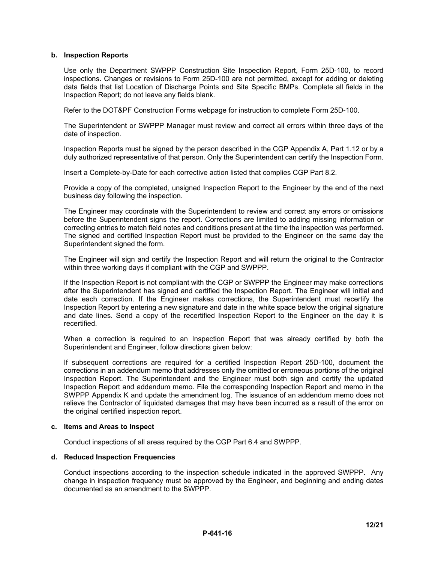### **b. Inspection Reports**

Use only the Department SWPPP Construction Site Inspection Report, Form 25D-100, to record inspections. Changes or revisions to Form 25D-100 are not permitted, except for adding or deleting data fields that list Location of Discharge Points and Site Specific BMPs. Complete all fields in the Inspection Report; do not leave any fields blank.

Refer to the DOT&PF Construction Forms webpage for instruction to complete Form 25D-100.

The Superintendent or SWPPP Manager must review and correct all errors within three days of the date of inspection.

Inspection Reports must be signed by the person described in the CGP Appendix A, Part 1.12 or by a duly authorized representative of that person. Only the Superintendent can certify the Inspection Form.

Insert a Complete-by-Date for each corrective action listed that complies CGP Part 8.2.

Provide a copy of the completed, unsigned Inspection Report to the Engineer by the end of the next business day following the inspection.

The Engineer may coordinate with the Superintendent to review and correct any errors or omissions before the Superintendent signs the report. Corrections are limited to adding missing information or correcting entries to match field notes and conditions present at the time the inspection was performed. The signed and certified Inspection Report must be provided to the Engineer on the same day the Superintendent signed the form.

The Engineer will sign and certify the Inspection Report and will return the original to the Contractor within three working days if compliant with the CGP and SWPPP.

If the Inspection Report is not compliant with the CGP or SWPPP the Engineer may make corrections after the Superintendent has signed and certified the Inspection Report. The Engineer will initial and date each correction. If the Engineer makes corrections, the Superintendent must recertify the Inspection Report by entering a new signature and date in the white space below the original signature and date lines. Send a copy of the recertified Inspection Report to the Engineer on the day it is recertified.

When a correction is required to an Inspection Report that was already certified by both the Superintendent and Engineer, follow directions given below:

If subsequent corrections are required for a certified Inspection Report 25D-100, document the corrections in an addendum memo that addresses only the omitted or erroneous portions of the original Inspection Report. The Superintendent and the Engineer must both sign and certify the updated Inspection Report and addendum memo. File the corresponding Inspection Report and memo in the SWPPP Appendix K and update the amendment log. The issuance of an addendum memo does not relieve the Contractor of liquidated damages that may have been incurred as a result of the error on the original certified inspection report.

### **c. Items and Areas to Inspect**

Conduct inspections of all areas required by the CGP Part 6.4 and SWPPP.

### **d. Reduced Inspection Frequencies**

Conduct inspections according to the inspection schedule indicated in the approved SWPPP. Any change in inspection frequency must be approved by the Engineer, and beginning and ending dates documented as an amendment to the SWPPP.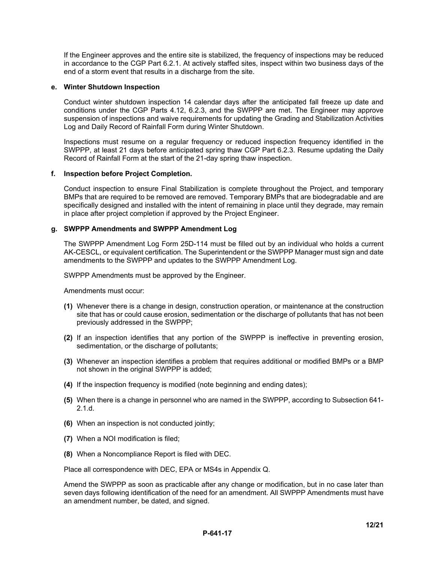If the Engineer approves and the entire site is stabilized, the frequency of inspections may be reduced in accordance to the CGP Part 6.2.1. At actively staffed sites, inspect within two business days of the end of a storm event that results in a discharge from the site.

### **e. Winter Shutdown Inspection**

Conduct winter shutdown inspection 14 calendar days after the anticipated fall freeze up date and conditions under the CGP Parts 4.12, 6.2.3, and the SWPPP are met. The Engineer may approve suspension of inspections and waive requirements for updating the Grading and Stabilization Activities Log and Daily Record of Rainfall Form during Winter Shutdown.

Inspections must resume on a regular frequency or reduced inspection frequency identified in the SWPPP, at least 21 days before anticipated spring thaw CGP Part 6.2.3. Resume updating the Daily Record of Rainfall Form at the start of the 21-day spring thaw inspection.

### **f. Inspection before Project Completion.**

Conduct inspection to ensure Final Stabilization is complete throughout the Project, and temporary BMPs that are required to be removed are removed. Temporary BMPs that are biodegradable and are specifically designed and installed with the intent of remaining in place until they degrade, may remain in place after project completion if approved by the Project Engineer.

### **g. SWPPP Amendments and SWPPP Amendment Log**

The SWPPP Amendment Log Form 25D-114 must be filled out by an individual who holds a current AK-CESCL, or equivalent certification. The Superintendent or the SWPPP Manager must sign and date amendments to the SWPPP and updates to the SWPPP Amendment Log.

SWPPP Amendments must be approved by the Engineer.

Amendments must occur:

- **(1)** Whenever there is a change in design, construction operation, or maintenance at the construction site that has or could cause erosion, sedimentation or the discharge of pollutants that has not been previously addressed in the SWPPP;
- **(2)** If an inspection identifies that any portion of the SWPPP is ineffective in preventing erosion, sedimentation, or the discharge of pollutants;
- **(3)** Whenever an inspection identifies a problem that requires additional or modified BMPs or a BMP not shown in the original SWPPP is added;
- **(4)** If the inspection frequency is modified (note beginning and ending dates);
- **(5)** When there is a change in personnel who are named in the SWPPP, according to Subsection 641- 2.1.d.
- **(6)** When an inspection is not conducted jointly;
- **(7)** When a NOI modification is filed;
- **(8)** When a Noncompliance Report is filed with DEC.

Place all correspondence with DEC, EPA or MS4s in Appendix Q.

Amend the SWPPP as soon as practicable after any change or modification, but in no case later than seven days following identification of the need for an amendment. All SWPPP Amendments must have an amendment number, be dated, and signed.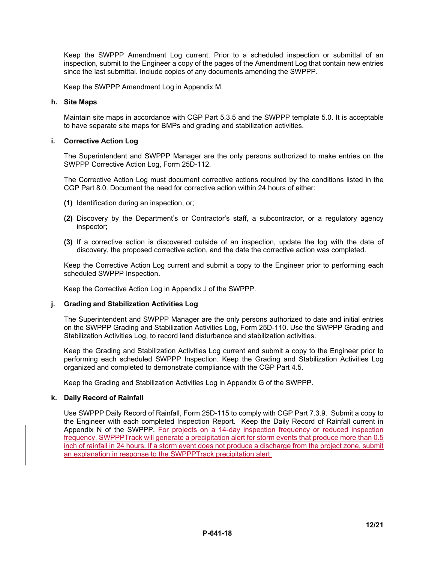Keep the SWPPP Amendment Log current. Prior to a scheduled inspection or submittal of an inspection, submit to the Engineer a copy of the pages of the Amendment Log that contain new entries since the last submittal. Include copies of any documents amending the SWPPP.

Keep the SWPPP Amendment Log in Appendix M.

#### **h. Site Maps**

Maintain site maps in accordance with CGP Part 5.3.5 and the SWPPP template 5.0. It is acceptable to have separate site maps for BMPs and grading and stabilization activities.

#### **i. Corrective Action Log**

The Superintendent and SWPPP Manager are the only persons authorized to make entries on the SWPPP Corrective Action Log, Form 25D-112.

The Corrective Action Log must document corrective actions required by the conditions listed in the CGP Part 8.0. Document the need for corrective action within 24 hours of either:

- **(1)** Identification during an inspection, or;
- **(2)** Discovery by the Department's or Contractor's staff, a subcontractor, or a regulatory agency inspector;
- **(3)** If a corrective action is discovered outside of an inspection, update the log with the date of discovery, the proposed corrective action, and the date the corrective action was completed.

Keep the Corrective Action Log current and submit a copy to the Engineer prior to performing each scheduled SWPPP Inspection.

Keep the Corrective Action Log in Appendix J of the SWPPP.

### **j. Grading and Stabilization Activities Log**

The Superintendent and SWPPP Manager are the only persons authorized to date and initial entries on the SWPPP Grading and Stabilization Activities Log, Form 25D-110. Use the SWPPP Grading and Stabilization Activities Log, to record land disturbance and stabilization activities.

Keep the Grading and Stabilization Activities Log current and submit a copy to the Engineer prior to performing each scheduled SWPPP Inspection. Keep the Grading and Stabilization Activities Log organized and completed to demonstrate compliance with the CGP Part 4.5.

Keep the Grading and Stabilization Activities Log in Appendix G of the SWPPP.

### **k. Daily Record of Rainfall**

Use SWPPP Daily Record of Rainfall, Form 25D-115 to comply with CGP Part 7.3.9. Submit a copy to the Engineer with each completed Inspection Report. Keep the Daily Record of Rainfall current in Appendix N of the SWPPP. For projects on a 14-day inspection frequency or reduced inspection frequency, SWPPPTrack will generate a precipitation alert for storm events that produce more than 0.5 inch of rainfall in 24 hours. If a storm event does not produce a discharge from the project zone, submit an explanation in response to the SWPPPTrack precipitation alert.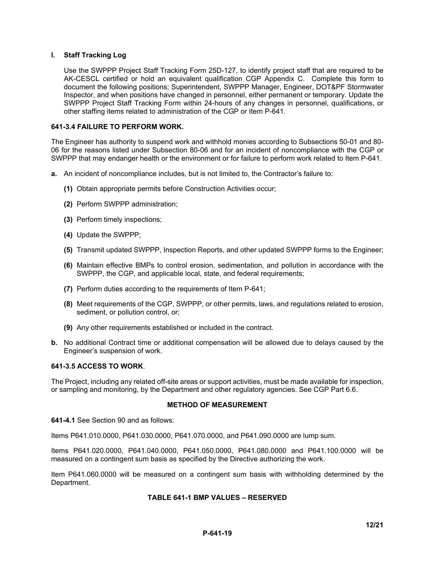### **l. Staff Tracking Log**

Use the SWPPP Project Staff Tracking Form 25D-127, to identify project staff that are required to be AK-CESCL certified or hold an equivalent qualification CGP Appendix C. Complete this form to document the following positions; Superintendent, SWPPP Manager, Engineer, DOT&PF Stormwater Inspector, and when positions have changed in personnel, either permanent or temporary. Update the SWPPP Project Staff Tracking Form within 24-hours of any changes in personnel, qualifications, or other staffing items related to administration of the CGP or Item P-641.

### **641-3.4 FAILURE TO PERFORM WORK.**

The Engineer has authority to suspend work and withhold monies according to Subsections 50-01 and 80- 06 for the reasons listed under Subsection 80-06 and for an incident of noncompliance with the CGP or SWPPP that may endanger health or the environment or for failure to perform work related to Item P-641.

- **a.** An incident of noncompliance includes, but is not limited to, the Contractor's failure to:
	- **(1)** Obtain appropriate permits before Construction Activities occur;
	- **(2)** Perform SWPPP administration;
	- **(3)** Perform timely inspections;
	- **(4)** Update the SWPPP;
	- **(5)** Transmit updated SWPPP, Inspection Reports, and other updated SWPPP forms to the Engineer;
	- **(6)** Maintain effective BMPs to control erosion, sedimentation, and pollution in accordance with the SWPPP, the CGP, and applicable local, state, and federal requirements;
	- **(7)** Perform duties according to the requirements of Item P-641;
	- **(8)** Meet requirements of the CGP, SWPPP, or other permits, laws, and regulations related to erosion, sediment, or pollution control, or;
	- **(9)** Any other requirements established or included in the contract.
- **b.** No additional Contract time or additional compensation will be allowed due to delays caused by the Engineer's suspension of work.

#### **641-3.5 ACCESS TO WORK**.

The Project, including any related off-site areas or support activities, must be made available for inspection, or sampling and monitoring, by the Department and other regulatory agencies. See CGP Part 6.6.

### **METHOD OF MEASUREMENT**

**641-4.1** See Section 90 and as follows:

Items P641.010.0000, P641.030.0000, P641.070.0000, and P641.090.0000 are lump sum.

Items P641.020.0000, P641.040.0000, P641.050.0000, P641.080.0000 and P641.100.0000 will be measured on a contingent sum basis as specified by the Directive authorizing the work.

Item P641.060.0000 will be measured on a contingent sum basis with withholding determined by the Department.

#### **TABLE 641-1 BMP VALUES – RESERVED**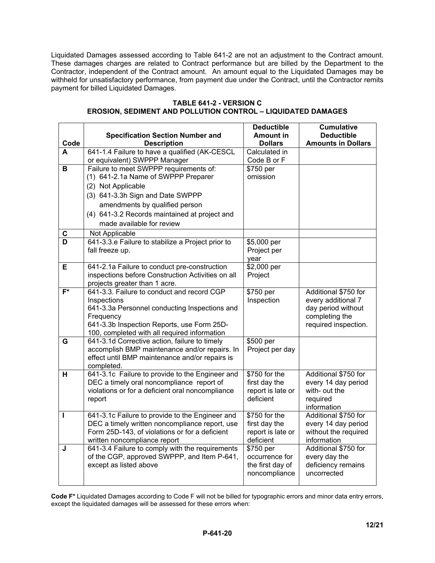Liquidated Damages assessed according to Table 641-2 are not an adjustment to the Contract amount. These damages charges are related to Contract performance but are billed by the Department to the Contractor, independent of the Contract amount. An amount equal to the Liquidated Damages may be withheld for unsatisfactory performance, from payment due under the Contract, until the Contractor remits payment for billed Liquidated Damages.

|                         |                                                                                                   | <b>Deductible</b>              | <b>Cumulative</b>                           |
|-------------------------|---------------------------------------------------------------------------------------------------|--------------------------------|---------------------------------------------|
|                         | <b>Specification Section Number and</b>                                                           | <b>Amount in</b>               | <b>Deductible</b>                           |
| Code                    | <b>Description</b>                                                                                | <b>Dollars</b>                 | <b>Amounts in Dollars</b>                   |
| A                       | 641-1.4 Failure to have a qualified (AK-CESCL                                                     | Calculated in                  |                                             |
|                         | or equivalent) SWPPP Manager                                                                      | Code B or F                    |                                             |
| $\overline{\mathbf{B}}$ | Failure to meet SWPPP requirements of:                                                            | \$750 per                      |                                             |
|                         | (1) 641-2.1a Name of SWPPP Preparer                                                               | omission                       |                                             |
|                         | (2) Not Applicable                                                                                |                                |                                             |
|                         | (3) 641-3.3h Sign and Date SWPPP                                                                  |                                |                                             |
|                         | amendments by qualified person                                                                    |                                |                                             |
|                         | (4) 641-3.2 Records maintained at project and                                                     |                                |                                             |
|                         | made available for review                                                                         |                                |                                             |
| C                       | Not Applicable                                                                                    |                                |                                             |
| $\overline{\mathsf{D}}$ | 641-3.3.e Failure to stabilize a Project prior to                                                 | \$5,000 per                    |                                             |
|                         | fall freeze up.                                                                                   | Project per                    |                                             |
|                         |                                                                                                   | year                           |                                             |
| Е                       | 641-2.1a Failure to conduct pre-construction                                                      | \$2,000 per                    |                                             |
|                         | inspections before Construction Activities on all                                                 | Project                        |                                             |
|                         | projects greater than 1 acre.                                                                     |                                |                                             |
| $F^*$                   | 641-3.3. Failure to conduct and record CGP                                                        | \$750 per                      | Additional \$750 for                        |
|                         | Inspections                                                                                       | Inspection                     | every additional 7                          |
|                         | 641-3.3a Personnel conducting Inspections and                                                     |                                | day period without<br>completing the        |
|                         | Frequency<br>641-3.3b Inspection Reports, use Form 25D-                                           |                                | required inspection.                        |
|                         | 100, completed with all required information                                                      |                                |                                             |
| G                       | 641-3.1d Corrective action, failure to timely                                                     | \$500 per                      |                                             |
|                         | accomplish BMP maintenance and/or repairs. In                                                     | Project per day                |                                             |
|                         | effect until BMP maintenance and/or repairs is                                                    |                                |                                             |
|                         | completed.                                                                                        |                                |                                             |
| н                       | 641-3.1c Failure to provide to the Engineer and                                                   | \$750 for the                  | Additional \$750 for                        |
|                         | DEC a timely oral noncompliance report of                                                         | first day the                  | every 14 day period                         |
|                         | violations or for a deficient oral noncompliance                                                  | report is late or              | with- out the                               |
|                         | report                                                                                            | deficient                      | required                                    |
|                         |                                                                                                   |                                | information                                 |
| П                       | 641-3.1c Failure to provide to the Engineer and<br>DEC a timely written noncompliance report, use | \$750 for the<br>first day the | Additional \$750 for                        |
|                         | Form 25D-143, of violations or for a deficient                                                    | report is late or              | every 14 day period<br>without the required |
|                         | written noncompliance report                                                                      | deficient                      | information                                 |
| J                       | 641-3.4 Failure to comply with the requirements                                                   | \$750 per                      | Additional \$750 for                        |
|                         | of the CGP, approved SWPPP, and Item P-641,                                                       | occurrence for                 | every day the                               |
|                         | except as listed above                                                                            | the first day of               | deficiency remains                          |
|                         |                                                                                                   | noncompliance                  | uncorrected                                 |
|                         |                                                                                                   |                                |                                             |

## **TABLE 641-2 - VERSION C EROSION, SEDIMENT AND POLLUTION CONTROL – LIQUIDATED DAMAGES**

 $\Gamma$ 

 $\top$ 

**Code F\*** Liquidated Damages according to Code F will not be billed for typographic errors and minor data entry errors, except the liquidated damages will be assessed for these errors when: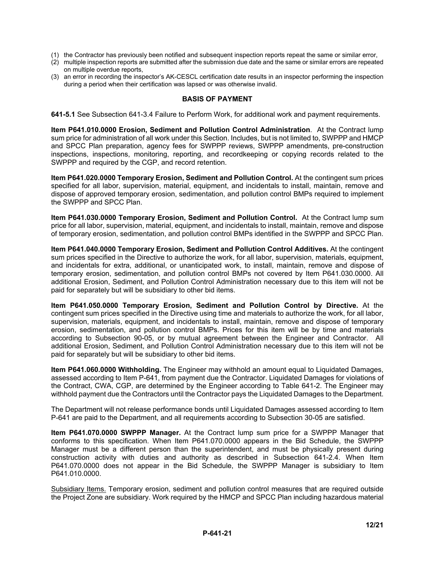- (1) the Contractor has previously been notified and subsequent inspection reports repeat the same or similar error,
- (2) multiple inspection reports are submitted after the submission due date and the same or similar errors are repeated on multiple overdue reports,
- (3) an error in recording the inspector's AK-CESCL certification date results in an inspector performing the inspection during a period when their certification was lapsed or was otherwise invalid.

#### **BASIS OF PAYMENT**

**641-5.1** See Subsection 641-3.4 Failure to Perform Work, for additional work and payment requirements.

**Item P641.010.0000 Erosion, Sediment and Pollution Control Administration**. At the Contract lump sum price for administration of all work under this Section. Includes, but is not limited to, SWPPP and HMCP and SPCC Plan preparation, agency fees for SWPPP reviews, SWPPP amendments, pre-construction inspections, inspections, monitoring, reporting, and recordkeeping or copying records related to the SWPPP and required by the CGP, and record retention.

**Item P641.020.0000 Temporary Erosion, Sediment and Pollution Control.** At the contingent sum prices specified for all labor, supervision, material, equipment, and incidentals to install, maintain, remove and dispose of approved temporary erosion, sedimentation, and pollution control BMPs required to implement the SWPPP and SPCC Plan.

**Item P641.030.0000 Temporary Erosion, Sediment and Pollution Control.** At the Contract lump sum price for all labor, supervision, material, equipment, and incidentals to install, maintain, remove and dispose of temporary erosion, sedimentation, and pollution control BMPs identified in the SWPPP and SPCC Plan.

**Item P641.040.0000 Temporary Erosion, Sediment and Pollution Control Additives.** At the contingent sum prices specified in the Directive to authorize the work, for all labor, supervision, materials, equipment, and incidentals for extra, additional, or unanticipated work, to install, maintain, remove and dispose of temporary erosion, sedimentation, and pollution control BMPs not covered by Item P641.030.0000. All additional Erosion, Sediment, and Pollution Control Administration necessary due to this item will not be paid for separately but will be subsidiary to other bid items.

**Item P641.050.0000 Temporary Erosion, Sediment and Pollution Control by Directive.** At the contingent sum prices specified in the Directive using time and materials to authorize the work, for all labor, supervision, materials, equipment, and incidentals to install, maintain, remove and dispose of temporary erosion, sedimentation, and pollution control BMPs. Prices for this item will be by time and materials according to Subsection 90-05, or by mutual agreement between the Engineer and Contractor. All additional Erosion, Sediment, and Pollution Control Administration necessary due to this item will not be paid for separately but will be subsidiary to other bid items.

**Item P641.060.0000 Withholding.** The Engineer may withhold an amount equal to Liquidated Damages, assessed according to Item P-641, from payment due the Contractor. Liquidated Damages for violations of the Contract, CWA, CGP, are determined by the Engineer according to Table 641-2. The Engineer may withhold payment due the Contractors until the Contractor pays the Liquidated Damages to the Department.

The Department will not release performance bonds until Liquidated Damages assessed according to Item P-641 are paid to the Department, and all requirements according to Subsection 30-05 are satisfied.

**Item P641.070.0000 SWPPP Manager.** At the Contract lump sum price for a SWPPP Manager that conforms to this specification. When Item P641.070.0000 appears in the Bid Schedule, the SWPPP Manager must be a different person than the superintendent, and must be physically present during construction activity with duties and authority as described in Subsection 641-2.4. When Item P641.070.0000 does not appear in the Bid Schedule, the SWPPP Manager is subsidiary to Item P641.010.0000.

Subsidiary Items. Temporary erosion, sediment and pollution control measures that are required outside the Project Zone are subsidiary. Work required by the HMCP and SPCC Plan including hazardous material